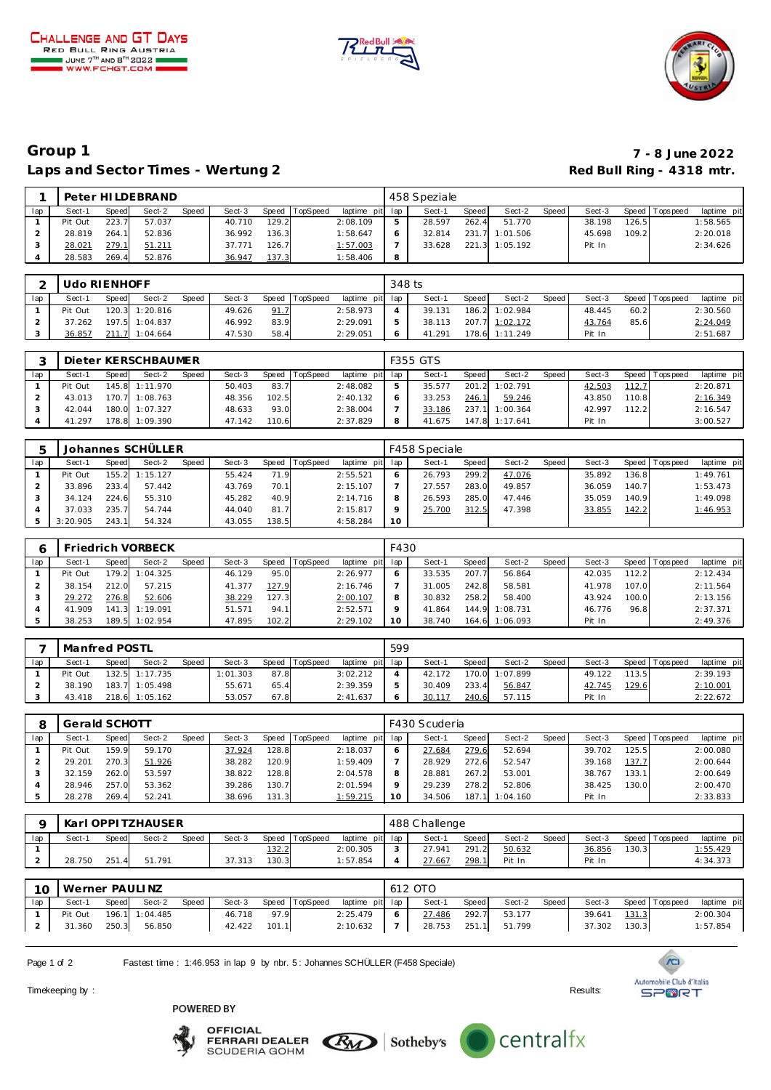





## **Group 1 7 - 8 June 2022** Laps and Sector Times - Wertung 2 **Red Bull Ring - 4318 mtr.** And Bull Ring - 4318 mtr.

|     |         |       | Peter HILDEBRAND |       |        |       |                 |                 |   | 458 Speziale |       |                |       |        |       |                 |             |
|-----|---------|-------|------------------|-------|--------|-------|-----------------|-----------------|---|--------------|-------|----------------|-------|--------|-------|-----------------|-------------|
| lap | Sect-1  | Speed | Sect-2           | Speed | Sect-3 | Speed | <b>TopSpeed</b> | laptime pit lap |   | Sect-1       | Speed | Sect-2         | Speed | Sect-3 |       | Speed Tops peed | laptime pit |
|     | Pit Out | 223.7 | 57.037           |       | 40.710 | 129.2 |                 | 2:08.109        |   | 28.597       | 262.4 | 51.770         |       | 38.198 | 126.5 |                 | 1:58.565    |
|     | 28.819  | 264.7 | 52.836           |       | 36.992 | 136.3 |                 | 1:58.647        |   | 32.814       |       | 231.7 1:01.506 |       | 45.698 | 109.2 |                 | 2:20.018    |
|     | 28.021  | 279.  | 51.211           |       | 37.771 | 126.7 |                 | 1:57.003        |   | 33.628       |       | 221.3 1:05.192 |       | Pit In |       |                 | 2:34.626    |
|     | 28.583  | 269.4 | 52.876           |       | 36.947 | 137.3 |                 | 1:58.406        | 8 |              |       |                |       |        |       |                 |             |

|     | Udo RIENHOFF |       |                |       |        |      |                  |                 | 348 ts |        |       |                |       |        |      |                 |             |
|-----|--------------|-------|----------------|-------|--------|------|------------------|-----------------|--------|--------|-------|----------------|-------|--------|------|-----------------|-------------|
| lap | Sect-1       | Speed | Sect-2         | Speed | Sect-3 |      | Speed   TopSpeed | laptime pit lap |        | Sect-1 | Speed | Sect-2         | Speed | Sect-3 |      | Speed Tops peed | laptime pit |
|     | Pit Out      |       | 120.3 1:20.816 |       | 49.626 | 91.7 |                  | 2:58.973        |        | 39.131 |       | 186.2 1:02.984 |       | 48.445 | 60.2 |                 | 2:30.560    |
|     | 37.262       |       | 197.5 1:04.837 |       | 46.992 | 83.9 |                  | 2:29.091        |        | 38.113 |       | 207.7 1:02.172 |       | 43.764 | 85.6 |                 | 2:24.049    |
|     | 36.857       |       | 211.7 1:04.664 |       | 47.530 | 58.4 |                  | 2:29.051        |        | 41.291 |       | 178.6 1:11.249 |       | Pit In |      |                 | 2:51.687    |

|     |         |       | Dieter KERSCHBAUMER |       |        |         |          |                 |   | F355 GTS |       |                |       |        |       |                 |             |
|-----|---------|-------|---------------------|-------|--------|---------|----------|-----------------|---|----------|-------|----------------|-------|--------|-------|-----------------|-------------|
| lap | Sect-1  | Speed | Sect-2              | Speed | Sect-3 | Speed T | TopSpeed | laptime pit lap |   | Sect-1   | Speed | Sect-2         | Speed | Sect-3 |       | Speed Tops peed | laptime pit |
|     | Pit Out |       | 145.8 1:11.970      |       | 50.403 | 83.7    |          | 2:48.082        |   | 35.577   | 201.2 | 1:02.791       |       | 42.503 | 112.7 |                 | 2:20.871    |
|     | 43.013  |       | 170.7 1:08.763      |       | 48.356 | 102.5   |          | 2:40.132        |   | 33.253   | 246.1 | 59.246         |       | 43.850 | 110.8 |                 | 2:16.349    |
|     | 42.044  |       | 180.0 1:07.327      |       | 48.633 | 93.0    |          | 2:38.004        |   | 33.186   |       | 237.1 1:00.364 |       | 42.997 | 112.2 |                 | 2:16.547    |
|     | 41.297  |       | 178.8 1:09.390      |       | 47.142 | 110.6   |          | 2:37.829        | 8 | 41.675   |       | 147.8 1:17.641 |       | Pit In |       |                 | 3:00.527    |

|     |          |       | Johannes SCHÜLLER |       |        |       |                  |                 |    | F458 Speciale |       |        |       |        |       |                 |             |
|-----|----------|-------|-------------------|-------|--------|-------|------------------|-----------------|----|---------------|-------|--------|-------|--------|-------|-----------------|-------------|
| lap | Sect-1   | Speed | Sect-2            | Speed | Sect-3 |       | Speed   TopSpeed | laptime pit lap |    | Sect-1        | Speed | Sect-2 | Speed | Sect-3 |       | Speed Tops peed | laptime pit |
|     | Pit Out  |       | 155.2 1:15.127    |       | 55.424 | 71.9  |                  | 2:55.521        |    | 26.793        | 299.2 | 47.076 |       | 35.892 | 136.8 |                 | 1:49.761    |
|     | 33.896   | 233.4 | 57.442            |       | 43.769 | 70.1  |                  | 2:15.107        |    | 27.557        | 283.0 | 49.857 |       | 36.059 | 140.7 |                 | 1:53.473    |
|     | 34.124   | 224.6 | 55.310            |       | 45.282 | 40.9  |                  | 2:14.716        |    | 26.593        | 285.0 | 47.446 |       | 35.059 | 140.9 |                 | 1:49.098    |
|     | 37.033   | 235.7 | 54.744            |       | 44.040 | 81.7  |                  | 2:15.817        |    | 25.700        | 312.5 | 47.398 |       | 33.855 | 142.2 |                 | 1:46.953    |
|     | 3:20.905 | 243.1 | 54.324            |       | 43.055 | 138.5 |                  | 4:58.284        | 10 |               |       |        |       |        |       |                 |             |

|     |         |       | Friedrich VORBECK |       |        |       |                 |                 | F430 |        |       |                |       |        |       |             |             |
|-----|---------|-------|-------------------|-------|--------|-------|-----------------|-----------------|------|--------|-------|----------------|-------|--------|-------|-------------|-------------|
| lap | Sect-1  | Speed | Sect-2            | Speed | Sect-3 | Speed | <b>TopSpeed</b> | laptime pit lap |      | Sect-1 | Speed | Sect-2         | Speed | Sect-3 | Speed | T ops pee d | laptime pit |
|     | Pit Out | 179.2 | 1:04.325          |       | 46.129 | 95.0  |                 | 2:26.977        |      | 33.535 | 207.7 | 56.864         |       | 42.035 | 112.2 |             | 2:12.434    |
|     | 38.154  | 212.0 | 57.215            |       | 41.377 | 127.9 |                 | 2:16.746        |      | 31.005 | 242.8 | 58.581         |       | 41.978 | 107.0 |             | 2:11.564    |
|     | 29.272  | 276.8 | 52.606            |       | 38.229 | 127.3 |                 | 2:00.107        |      | 30.832 | 258.2 | 58.400         |       | 43.924 | 100.0 |             | 2:13.156    |
|     | 41.909  |       | 141.3 1:19.091    |       | 51.571 | 94.1  |                 | 2:52.571        |      | 41.864 | 144.9 | 1:08.731       |       | 46.776 | 96.8  |             | 2:37.371    |
|     | 38.253  |       | 189.5 1:02.954    |       | 47.895 | 102.2 |                 | 2:29.102        | 10   | 38.740 |       | 164.6 1:06.093 |       | Pit In |       |             | 2:49.376    |

|     | Manfred POSTL |       |                  |       |          |       |                 |                 | 599 |        |       |          |       |        |       |                |             |
|-----|---------------|-------|------------------|-------|----------|-------|-----------------|-----------------|-----|--------|-------|----------|-------|--------|-------|----------------|-------------|
| lap | Sect-1        | Speed | Sect-2           | Speed | Sect-3   | Speed | <b>TopSpeed</b> | laptime pit lap |     | Sect-1 | Speed | Sect-2   | Speed | Sect-3 |       | Speed Topspeed | laptime pit |
|     | Pit Out       |       | $132.5$ 1:17.735 |       | 1:01.303 | 87.8  |                 | 3:02.212        |     | 42.172 | 170.0 | 1:07.899 |       | 49.122 | 113.5 |                | 2:39.193    |
|     | 38.190        |       | 183.7 1:05.498   |       | 55.671   | 65.4  |                 | 2:39.359        |     | 30.409 | 233.4 | 56.847   |       | 42.745 | 129.6 |                | 2:10.001    |
|     | 43.418        |       | 218.6 1:05.162   |       | 53.057   | 67.8  |                 | 2:41.637        |     | 30.11  | 240.6 | 57.115   |       | Pit In |       |                | 2:22.672    |

|     | Gerald SCHOTT |       |        |       |        |       |                 |                 |         | F430 Scuderia |       |          |       |        |        |                   |             |
|-----|---------------|-------|--------|-------|--------|-------|-----------------|-----------------|---------|---------------|-------|----------|-------|--------|--------|-------------------|-------------|
| lap | Sect-1        | Speed | Sect-2 | Speed | Sect-3 | Speed | <b>TopSpeed</b> | laptime pit lap |         | Sect-1        | Speed | Sect-2   | Speed | Sect-3 |        | Speed   Tops peed | laptime pit |
|     | Pit Out       | 159.9 | 59.170 |       | 37.924 | 128.8 |                 | 2:18.037        |         | 27.684        | 279.6 | 52.694   |       | 39.702 | 125.51 |                   | 2:00.080    |
|     | 29.201        | 270.3 | 51.926 |       | 38.282 | 120.9 |                 | 1:59.409        |         | 28.929        | 272.6 | 52.547   |       | 39.168 | 137.7  |                   | 2:00.644    |
|     | 32.159        | 262.0 | 53.597 |       | 38.822 | 128.8 |                 | 2:04.578        | 8       | 28.881        | 267.2 | 53.001   |       | 38.767 | 133.1  |                   | 2:00.649    |
|     | 28.946        | 257.0 | 53.362 |       | 39.286 | 130.7 |                 | 2:01.594        | $\circ$ | 29.239        | 278.2 | 52.806   |       | 38.425 | 130.0  |                   | 2:00.470    |
|     | 28.278        | 269.4 | 52.241 |       | 38.696 | 131.3 |                 | 1:59.215        | 10      | 34.506        | 187.1 | 1:04.160 |       | Pit In |        |                   | 2:33.833    |

|     |        |       | Karl OPPI TZHAUSER |              |        |       |          |                 |        | 488 Challenge |       |        |       |        |       |                |                 |
|-----|--------|-------|--------------------|--------------|--------|-------|----------|-----------------|--------|---------------|-------|--------|-------|--------|-------|----------------|-----------------|
| lap | Sect-1 | Speed | Sect-2             | <b>Speed</b> | Sect-3 | Speed | TopSpeed | laptime pit lap |        | Sect-         | Speed | Sect-2 | Speed | Sect-3 |       | Speed Topspeed | laptime pit     |
|     |        |       |                    |              |        | 132.2 |          | 2:00.305        | $\sim$ | 27.941        | 291.2 | 50.632 |       | 36.856 | 130.3 |                | <u>1:55.429</u> |
|     | 28.750 | 251.  | 51.791             |              | 37.313 | 130.3 |          | 1:57.854        |        | 27.667        | 298.1 | Pit In |       | Pit In |       |                | 4:34.373        |

| 10 <sup>1</sup> | Werner PAULI NZ |       |                |       |        |       |                |                 | 612 OTO |       |                     |         |        |       |                   |             |
|-----------------|-----------------|-------|----------------|-------|--------|-------|----------------|-----------------|---------|-------|---------------------|---------|--------|-------|-------------------|-------------|
| lap             | Sect-1          | Speed | Sect-2         | Speed | Sect-3 |       | Speed TopSpeed | laptime pit lap | Sect-1  | Speed | Sect-2              | Speed I | Sect-3 |       | Speed   Tops peed | laptime pit |
|                 | Pit Out         |       | 196.1 1:04.485 |       | 46.718 | 97.9  |                | 2:25.479        | 27.486  | 292.7 | 53.177              |         | 39.641 | 131.3 |                   | 2:00.304    |
|                 | 31.360          | 250.3 | 56.850         |       | 42.422 | 101.1 |                | 2:10.632        |         |       | 28.753 251.1 51.799 |         | 37.302 | 130.3 |                   | 1:57.854    |

Page 1 of 2 Fastest time : 1:46.953 in lap 9 by nbr. 5 : Johannes SCHÜLLER (F458 Speciale)

Timekeeping by : Results: Results: Results: Results: Results: Results: Results: Results: Results: Results: Results: Results: Results: Results: Results: Results: Results: Results: Results: Results: Results: Results: Results

POWERED BY